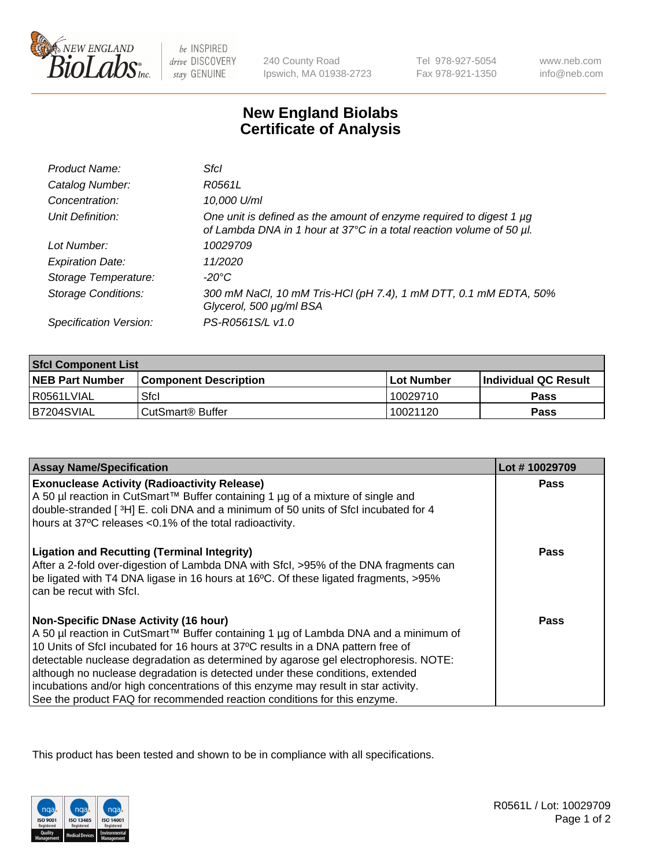

be INSPIRED drive DISCOVERY stay GENUINE

240 County Road Ipswich, MA 01938-2723 Tel 978-927-5054 Fax 978-921-1350

www.neb.com info@neb.com

## **New England Biolabs Certificate of Analysis**

| Product Name:              | Sfcl                                                                                                                                             |
|----------------------------|--------------------------------------------------------------------------------------------------------------------------------------------------|
| Catalog Number:            | R0561L                                                                                                                                           |
| Concentration:             | 10,000 U/ml                                                                                                                                      |
| Unit Definition:           | One unit is defined as the amount of enzyme required to digest 1 $\mu$ g<br>of Lambda DNA in 1 hour at 37°C in a total reaction volume of 50 µl. |
| Lot Number:                | 10029709                                                                                                                                         |
| <b>Expiration Date:</b>    | 11/2020                                                                                                                                          |
| Storage Temperature:       | -20°C                                                                                                                                            |
| <b>Storage Conditions:</b> | 300 mM NaCl, 10 mM Tris-HCl (pH 7.4), 1 mM DTT, 0.1 mM EDTA, 50%<br>Glycerol, 500 µg/ml BSA                                                      |
| Specification Version:     | PS-R0561S/L v1.0                                                                                                                                 |

| <b>Sfcl Component List</b> |                              |              |                             |  |
|----------------------------|------------------------------|--------------|-----------------------------|--|
| <b>NEB Part Number</b>     | <b>Component Description</b> | l Lot Number | <b>Individual QC Result</b> |  |
| I R0561LVIAL               | Sfcl                         | 10029710     | <b>Pass</b>                 |  |
| IB7204SVIAL                | ⊧CutSmart® Buffer            | 10021120     | <b>Pass</b>                 |  |

| <b>Assay Name/Specification</b>                                                                                                                                                                                                                              | Lot #10029709 |
|--------------------------------------------------------------------------------------------------------------------------------------------------------------------------------------------------------------------------------------------------------------|---------------|
| <b>Exonuclease Activity (Radioactivity Release)</b>                                                                                                                                                                                                          | <b>Pass</b>   |
| A 50 µl reaction in CutSmart™ Buffer containing 1 µg of a mixture of single and<br>double-stranded [3H] E. coli DNA and a minimum of 50 units of Sfcl incubated for 4                                                                                        |               |
| hours at 37°C releases <0.1% of the total radioactivity.                                                                                                                                                                                                     |               |
| <b>Ligation and Recutting (Terminal Integrity)</b><br>After a 2-fold over-digestion of Lambda DNA with Sfcl, >95% of the DNA fragments can<br>be ligated with T4 DNA ligase in 16 hours at 16°C. Of these ligated fragments, >95%<br>can be recut with Sfcl. | Pass          |
| <b>Non-Specific DNase Activity (16 hour)</b>                                                                                                                                                                                                                 | <b>Pass</b>   |
| A 50 µl reaction in CutSmart™ Buffer containing 1 µg of Lambda DNA and a minimum of                                                                                                                                                                          |               |
| 10 Units of Sfcl incubated for 16 hours at 37°C results in a DNA pattern free of<br>detectable nuclease degradation as determined by agarose gel electrophoresis. NOTE:                                                                                      |               |
| although no nuclease degradation is detected under these conditions, extended                                                                                                                                                                                |               |
| incubations and/or high concentrations of this enzyme may result in star activity.                                                                                                                                                                           |               |
| See the product FAQ for recommended reaction conditions for this enzyme.                                                                                                                                                                                     |               |

This product has been tested and shown to be in compliance with all specifications.